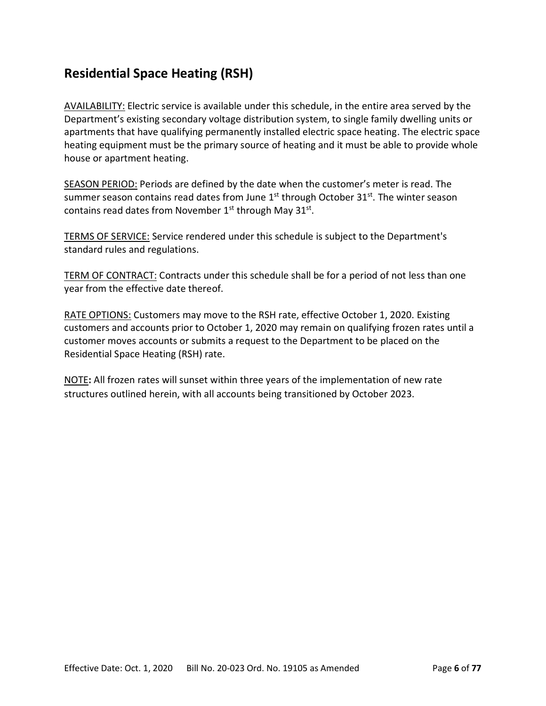## **Residential Space Heating (RSH)**

AVAILABILITY: Electric service is available under this schedule, in the entire area served by the Department's existing secondary voltage distribution system, to single family dwelling units or apartments that have qualifying permanently installed electric space heating. The electric space heating equipment must be the primary source of heating and it must be able to provide whole house or apartment heating.

SEASON PERIOD: Periods are defined by the date when the customer's meter is read. The summer season contains read dates from June  $1<sup>st</sup>$  through October  $31<sup>st</sup>$ . The winter season contains read dates from November 1<sup>st</sup> through May 31<sup>st</sup>.

TERMS OF SERVICE: Service rendered under this schedule is subject to the Department's standard rules and regulations.

TERM OF CONTRACT: Contracts under this schedule shall be for a period of not less than one year from the effective date thereof.

RATE OPTIONS: Customers may move to the RSH rate, effective October 1, 2020. Existing customers and accounts prior to October 1, 2020 may remain on qualifying frozen rates until a customer moves accounts or submits a request to the Department to be placed on the Residential Space Heating (RSH) rate.

NOTE**:** All frozen rates will sunset within three years of the implementation of new rate structures outlined herein, with all accounts being transitioned by October 2023.